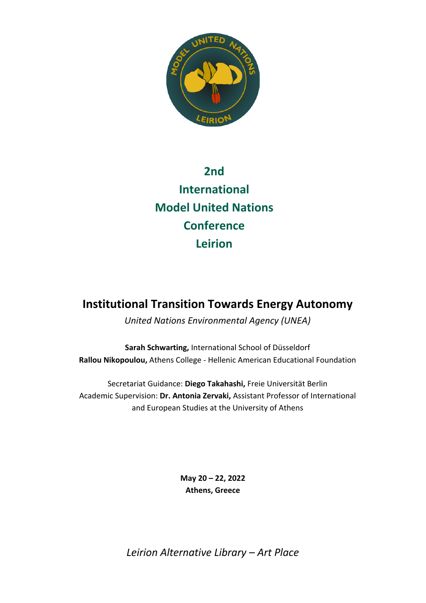

# **2nd International Model United Nations Conference Leirion**

# **Institutional Transition Towards Energy Autonomy**

*United Nations Environmental Agency (UNEA)*

**Sarah Schwarting,** International School of Düsseldorf **Rallou Nikopoulou,** Athens College - Hellenic American Educational Foundation

Secretariat Guidance: **Diego Takahashi,** Freie Universität Berlin Academic Supervision: **Dr. Antonia Zervaki,** Assistant Professor of International and European Studies at the University of Athens

> **May 20 – 22, 2022 Athens, Greece**

*Leirion Alternative Library – Art Place*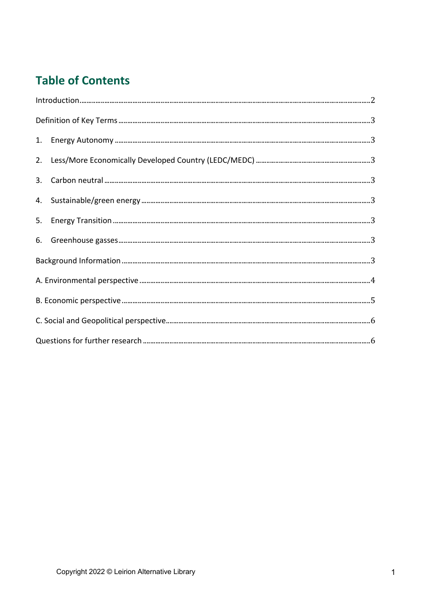# **Table of Contents**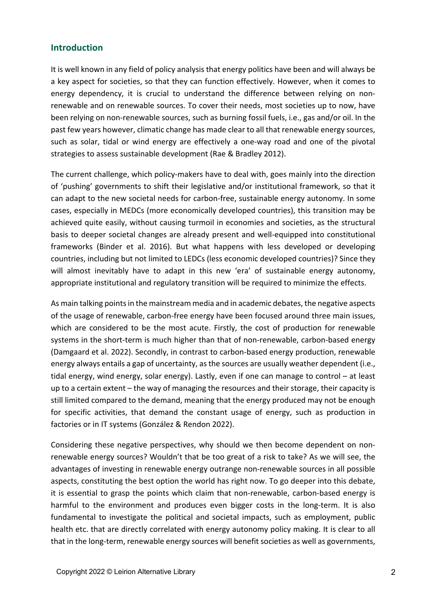#### **Introduction**

It is well known in any field of policy analysis that energy politics have been and will always be a key aspect for societies, so that they can function effectively. However, when it comes to energy dependency, it is crucial to understand the difference between relying on nonrenewable and on renewable sources. To cover their needs, most societies up to now, have been relying on non-renewable sources, such as burning fossil fuels, i.e., gas and/or oil. In the past few years however, climatic change has made clear to all that renewable energy sources, such as solar, tidal or wind energy are effectively a one-way road and one of the pivotal strategies to assess sustainable development (Rae & Bradley 2012).

The current challenge, which policy-makers have to deal with, goes mainly into the direction of 'pushing' governments to shift their legislative and/or institutional framework, so that it can adapt to the new societal needs for carbon-free, sustainable energy autonomy. In some cases, especially in MEDCs (more economically developed countries), this transition may be achieved quite easily, without causing turmoil in economies and societies, as the structural basis to deeper societal changes are already present and well-equipped into constitutional frameworks (Binder et al. 2016). But what happens with less developed or developing countries, including but not limited to LEDCs (less economic developed countries)? Since they will almost inevitably have to adapt in this new 'era' of sustainable energy autonomy, appropriate institutional and regulatory transition will be required to minimize the effects.

As main talking points in the mainstream media and in academic debates, the negative aspects of the usage of renewable, carbon-free energy have been focused around three main issues, which are considered to be the most acute. Firstly, the cost of production for renewable systems in the short-term is much higher than that of non-renewable, carbon-based energy (Damgaard et al. 2022). Secondly, in contrast to carbon-based energy production, renewable energy always entails a gap of uncertainty, as the sources are usually weather dependent (i.e., tidal energy, wind energy, solar energy). Lastly, even if one can manage to control – at least up to a certain extent – the way of managing the resources and their storage, their capacity is still limited compared to the demand, meaning that the energy produced may not be enough for specific activities, that demand the constant usage of energy, such as production in factories or in IT systems (González & Rendon 2022).

Considering these negative perspectives, why should we then become dependent on nonrenewable energy sources? Wouldn't that be too great of a risk to take? As we will see, the advantages of investing in renewable energy outrange non-renewable sources in all possible aspects, constituting the best option the world has right now. To go deeper into this debate, it is essential to grasp the points which claim that non-renewable, carbon-based energy is harmful to the environment and produces even bigger costs in the long-term. It is also fundamental to investigate the political and societal impacts, such as employment, public health etc. that are directly correlated with energy autonomy policy making. It is clear to all that in the long-term, renewable energy sources will benefit societies as well as governments,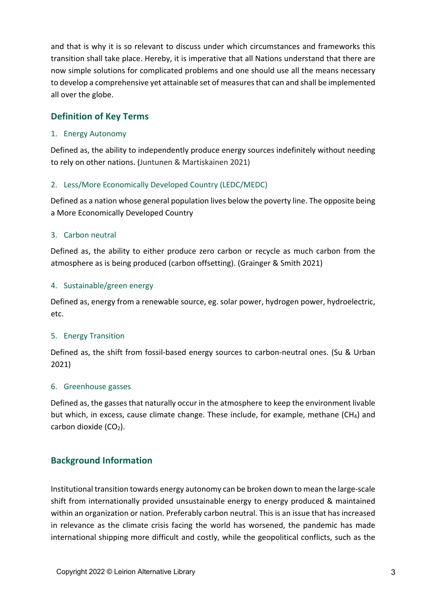and that is why it is so relevant to discuss under which circumstances and frameworks this transition shall take place. Hereby, it is imperative that all Nations understand that there are now simple solutions for complicated problems and one should use all the means necessary to develop a comprehensive yet attainable set of measures that can and shall be implemented all over the globe.

# **Definition of Key Terms**

#### 1. Energy Autonomy

Defined as, the ability to independently produce energy sources indefinitely without needing to rely on other nations. (Juntunen & Martiskainen 2021)

#### 2. Less/More Economically Developed Country (LEDC/MEDC)

Defined as a nation whose general population lives below the poverty line. The opposite being a More Economically Developed Country

#### 3. Carbon neutral

Defined as, the ability to either produce zero carbon or recycle as much carbon from the atmosphere as is being produced (carbon offsetting). (Grainger & Smith 2021)

#### 4. Sustainable/green energy

Defined as, energy from a renewable source, eg. solar power, hydrogen power, hydroelectric, etc.

#### 5. Energy Transition

Defined as, the shift from fossil-based energy sources to carbon-neutral ones. (Su & Urban 2021)

#### 6. Greenhouse gasses

Defined as, the gasses that naturally occur in the atmosphere to keep the environment livable but which, in excess, cause climate change. These include, for example, methane (CH4) and carbon dioxide  $(CO<sub>2</sub>)$ .

### **Background Information**

Institutional transition towards energy autonomy can be broken down to mean the large-scale shift from internationally provided unsustainable energy to energy produced & maintained within an organization or nation. Preferably carbon neutral. This is an issue that has increased in relevance as the climate crisis facing the world has worsened, the pandemic has made international shipping more difficult and costly, while the geopolitical conflicts, such as the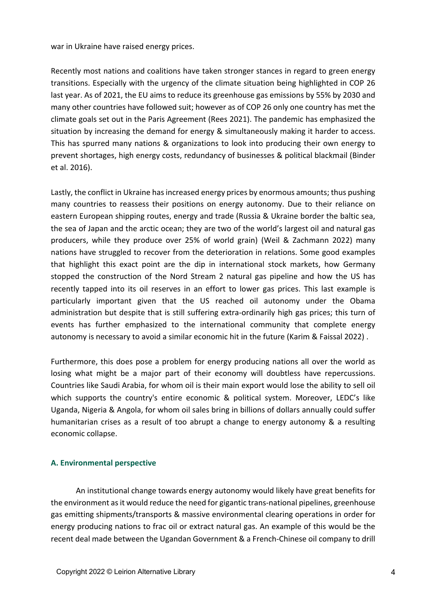war in Ukraine have raised energy prices.

Recently most nations and coalitions have taken stronger stances in regard to green energy transitions. Especially with the urgency of the climate situation being highlighted in COP 26 last year. As of 2021, the EU aims to reduce its greenhouse gas emissions by 55% by 2030 and many other countries have followed suit; however as of COP 26 only one country has met the climate goals set out in the Paris Agreement (Rees 2021). The pandemic has emphasized the situation by increasing the demand for energy & simultaneously making it harder to access. This has spurred many nations & organizations to look into producing their own energy to prevent shortages, high energy costs, redundancy of businesses & political blackmail (Binder et al. 2016).

Lastly, the conflict in Ukraine has increased energy prices by enormous amounts; thus pushing many countries to reassess their positions on energy autonomy. Due to their reliance on eastern European shipping routes, energy and trade (Russia & Ukraine border the baltic sea, the sea of Japan and the arctic ocean; they are two of the world's largest oil and natural gas producers, while they produce over 25% of world grain) (Weil & Zachmann 2022) many nations have struggled to recover from the deterioration in relations. Some good examples that highlight this exact point are the dip in international stock markets, how Germany stopped the construction of the Nord Stream 2 natural gas pipeline and how the US has recently tapped into its oil reserves in an effort to lower gas prices. This last example is particularly important given that the US reached oil autonomy under the Obama administration but despite that is still suffering extra-ordinarily high gas prices; this turn of events has further emphasized to the international community that complete energy autonomy is necessary to avoid a similar economic hit in the future (Karim & Faissal 2022) .

Furthermore, this does pose a problem for energy producing nations all over the world as losing what might be a major part of their economy will doubtless have repercussions. Countries like Saudi Arabia, for whom oil is their main export would lose the ability to sell oil which supports the country's entire economic & political system. Moreover, LEDC's like Uganda, Nigeria & Angola, for whom oil sales bring in billions of dollars annually could suffer humanitarian crises as a result of too abrupt a change to energy autonomy & a resulting economic collapse.

#### **A. Environmental perspective**

An institutional change towards energy autonomy would likely have great benefits for the environment as it would reduce the need for gigantic trans-national pipelines, greenhouse gas emitting shipments/transports & massive environmental clearing operations in order for energy producing nations to frac oil or extract natural gas. An example of this would be the recent deal made between the Ugandan Government & a French-Chinese oil company to drill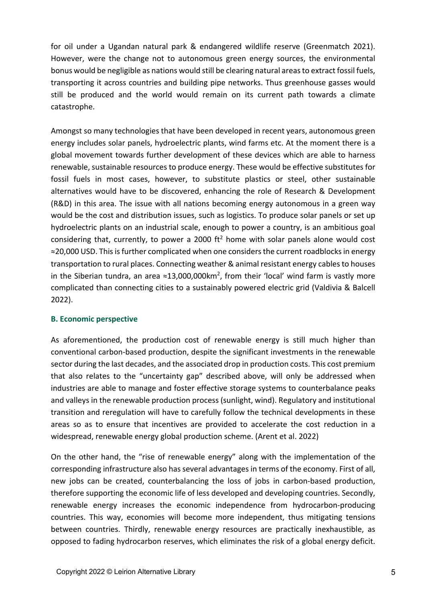for oil under a Ugandan natural park & endangered wildlife reserve (Greenmatch 2021). However, were the change not to autonomous green energy sources, the environmental bonus would be negligible as nations would still be clearing natural areas to extract fossil fuels, transporting it across countries and building pipe networks. Thus greenhouse gasses would still be produced and the world would remain on its current path towards a climate catastrophe.

Amongst so many technologies that have been developed in recent years, autonomous green energy includes solar panels, hydroelectric plants, wind farms etc. At the moment there is a global movement towards further development of these devices which are able to harness renewable, sustainable resources to produce energy. These would be effective substitutes for fossil fuels in most cases, however, to substitute plastics or steel, other sustainable alternatives would have to be discovered, enhancing the role of Research & Development (R&D) in this area. The issue with all nations becoming energy autonomous in a green way would be the cost and distribution issues, such as logistics. To produce solar panels or set up hydroelectric plants on an industrial scale, enough to power a country, is an ambitious goal considering that, currently, to power a 2000  $ft^2$  home with solar panels alone would cost ≈20,000 USD. This is further complicated when one considers the current roadblocks in energy transportation to rural places. Connecting weather & animal resistant energy cables to houses in the Siberian tundra, an area ≈13,000,000km<sup>2</sup>, from their 'local' wind farm is vastly more complicated than connecting cities to a sustainably powered electric grid (Valdivia & Balcell 2022).

#### **B. Economic perspective**

As aforementioned, the production cost of renewable energy is still much higher than conventional carbon-based production, despite the significant investments in the renewable sector during the last decades, and the associated drop in production costs. This cost premium that also relates to the "uncertainty gap" described above, will only be addressed when industries are able to manage and foster effective storage systems to counterbalance peaks and valleys in the renewable production process (sunlight, wind). Regulatory and institutional transition and reregulation will have to carefully follow the technical developments in these areas so as to ensure that incentives are provided to accelerate the cost reduction in a widespread, renewable energy global production scheme. (Arent et al. 2022)

On the other hand, the "rise of renewable energy" along with the implementation of the corresponding infrastructure also has several advantages in terms of the economy. First of all, new jobs can be created, counterbalancing the loss of jobs in carbon-based production, therefore supporting the economic life of less developed and developing countries. Secondly, renewable energy increases the economic independence from hydrocarbon-producing countries. This way, economies will become more independent, thus mitigating tensions between countries. Thirdly, renewable energy resources are practically inexhaustible, as opposed to fading hydrocarbon reserves, which eliminates the risk of a global energy deficit.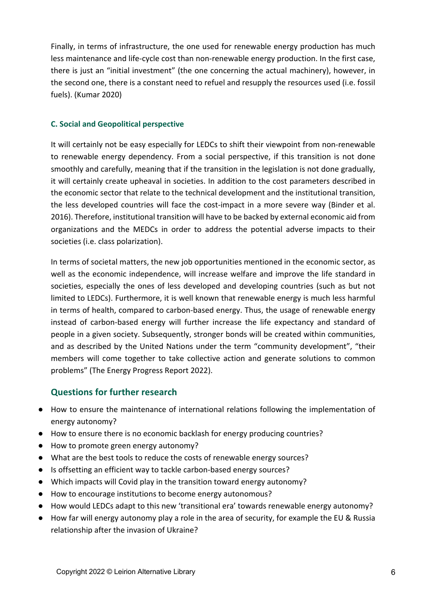Finally, in terms of infrastructure, the one used for renewable energy production has much less maintenance and life-cycle cost than non-renewable energy production. In the first case, there is just an "initial investment" (the one concerning the actual machinery), however, in the second one, there is a constant need to refuel and resupply the resources used (i.e. fossil fuels). (Kumar 2020)

#### **C. Social and Geopolitical perspective**

It will certainly not be easy especially for LEDCs to shift their viewpoint from non-renewable to renewable energy dependency. From a social perspective, if this transition is not done smoothly and carefully, meaning that if the transition in the legislation is not done gradually, it will certainly create upheaval in societies. In addition to the cost parameters described in the economic sector that relate to the technical development and the institutional transition, the less developed countries will face the cost-impact in a more severe way (Binder et al. 2016). Therefore, institutional transition will have to be backed by external economic aid from organizations and the MEDCs in order to address the potential adverse impacts to their societies (i.e. class polarization).

In terms of societal matters, the new job opportunities mentioned in the economic sector, as well as the economic independence, will increase welfare and improve the life standard in societies, especially the ones of less developed and developing countries (such as but not limited to LEDCs). Furthermore, it is well known that renewable energy is much less harmful in terms of health, compared to carbon-based energy. Thus, the usage of renewable energy instead of carbon-based energy will further increase the life expectancy and standard of people in a given society. Subsequently, stronger bonds will be created within communities, and as described by the United Nations under the term "community development", "their members will come together to take collective action and generate solutions to common problems" (The Energy Progress Report 2022).

## **Questions for further research**

- How to ensure the maintenance of international relations following the implementation of energy autonomy?
- How to ensure there is no economic backlash for energy producing countries?
- How to promote green energy autonomy?
- What are the best tools to reduce the costs of renewable energy sources?
- Is offsetting an efficient way to tackle carbon-based energy sources?
- Which impacts will Covid play in the transition toward energy autonomy?
- How to encourage institutions to become energy autonomous?
- How would LEDCs adapt to this new 'transitional era' towards renewable energy autonomy?
- How far will energy autonomy play a role in the area of security, for example the EU & Russia relationship after the invasion of Ukraine?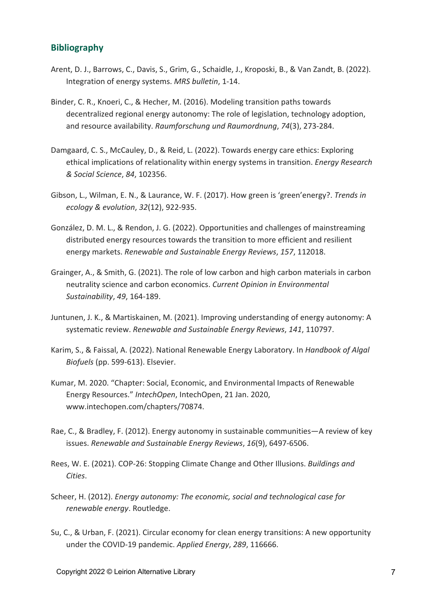### **Bibliography**

- Arent, D. J., Barrows, C., Davis, S., Grim, G., Schaidle, J., Kroposki, B., & Van Zandt, B. (2022). Integration of energy systems. *MRS bulletin*, 1-14.
- Binder, C. R., Knoeri, C., & Hecher, M. (2016). Modeling transition paths towards decentralized regional energy autonomy: The role of legislation, technology adoption, and resource availability. *Raumforschung und Raumordnung*, *74*(3), 273-284.
- Damgaard, C. S., McCauley, D., & Reid, L. (2022). Towards energy care ethics: Exploring ethical implications of relationality within energy systems in transition. *Energy Research & Social Science*, *84*, 102356.
- Gibson, L., Wilman, E. N., & Laurance, W. F. (2017). How green is 'green'energy?. *Trends in ecology & evolution*, *32*(12), 922-935.
- González, D. M. L., & Rendon, J. G. (2022). Opportunities and challenges of mainstreaming distributed energy resources towards the transition to more efficient and resilient energy markets. *Renewable and Sustainable Energy Reviews*, *157*, 112018.
- Grainger, A., & Smith, G. (2021). The role of low carbon and high carbon materials in carbon neutrality science and carbon economics. *Current Opinion in Environmental Sustainability*, *49*, 164-189.
- Juntunen, J. K., & Martiskainen, M. (2021). Improving understanding of energy autonomy: A systematic review. *Renewable and Sustainable Energy Reviews*, *141*, 110797.
- Karim, S., & Faissal, A. (2022). National Renewable Energy Laboratory. In *Handbook of Algal Biofuels* (pp. 599-613). Elsevier.
- Kumar, M. 2020. "Chapter: Social, Economic, and Environmental Impacts of Renewable Energy Resources." *IntechOpen*, IntechOpen, 21 Jan. 2020, www.intechopen.com/chapters/70874.
- Rae, C., & Bradley, F. (2012). Energy autonomy in sustainable communities—A review of key issues. *Renewable and Sustainable Energy Reviews*, *16*(9), 6497-6506.
- Rees, W. E. (2021). COP-26: Stopping Climate Change and Other Illusions. *Buildings and Cities*.
- Scheer, H. (2012). *Energy autonomy: The economic, social and technological case for renewable energy*. Routledge.
- Su, C., & Urban, F. (2021). Circular economy for clean energy transitions: A new opportunity under the COVID-19 pandemic. *Applied Energy*, *289*, 116666.